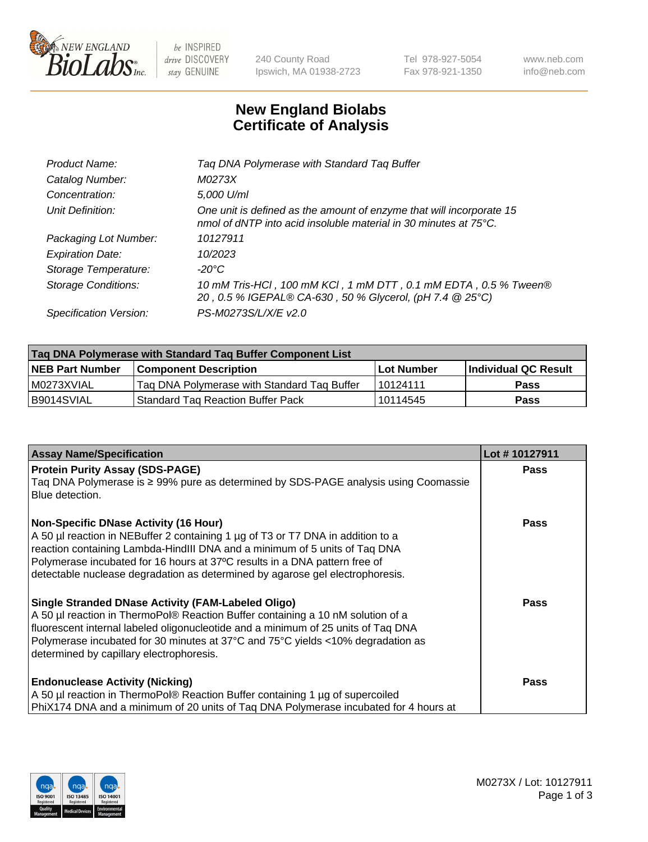

be INSPIRED drive DISCOVERY stay GENUINE

240 County Road Ipswich, MA 01938-2723 Tel 978-927-5054 Fax 978-921-1350 www.neb.com info@neb.com

## **New England Biolabs Certificate of Analysis**

| Tag DNA Polymerase with Standard Tag Buffer                                                                                              |
|------------------------------------------------------------------------------------------------------------------------------------------|
| M0273X                                                                                                                                   |
| 5,000 U/ml                                                                                                                               |
| One unit is defined as the amount of enzyme that will incorporate 15<br>nmol of dNTP into acid insoluble material in 30 minutes at 75°C. |
| 10127911                                                                                                                                 |
| 10/2023                                                                                                                                  |
| $-20^{\circ}$ C                                                                                                                          |
| 10 mM Tris-HCl, 100 mM KCl, 1 mM DTT, 0.1 mM EDTA, 0.5 % Tween®<br>20, 0.5 % IGEPAL® CA-630, 50 % Glycerol, (pH 7.4 @ 25°C)              |
| PS-M0273S/L/X/E v2.0                                                                                                                     |
|                                                                                                                                          |

| Tag DNA Polymerase with Standard Tag Buffer Component List |                                             |                   |                      |  |  |
|------------------------------------------------------------|---------------------------------------------|-------------------|----------------------|--|--|
| <b>NEB Part Number</b>                                     | Component Description_                      | <b>Lot Number</b> | Individual QC Result |  |  |
| l M0273XVIAL                                               | Tag DNA Polymerase with Standard Tag Buffer | 10124111          | <b>Pass</b>          |  |  |
| B9014SVIAL                                                 | <b>Standard Tag Reaction Buffer Pack</b>    | 10114545          | Pass                 |  |  |

| <b>Assay Name/Specification</b>                                                                                                                                                                                                                                                                                                                                              | Lot #10127911 |
|------------------------------------------------------------------------------------------------------------------------------------------------------------------------------------------------------------------------------------------------------------------------------------------------------------------------------------------------------------------------------|---------------|
| <b>Protein Purity Assay (SDS-PAGE)</b><br>Taq DNA Polymerase is ≥ 99% pure as determined by SDS-PAGE analysis using Coomassie<br>Blue detection.                                                                                                                                                                                                                             | <b>Pass</b>   |
| <b>Non-Specific DNase Activity (16 Hour)</b><br>A 50 µl reaction in NEBuffer 2 containing 1 µg of T3 or T7 DNA in addition to a<br>reaction containing Lambda-HindIII DNA and a minimum of 5 units of Taq DNA<br>Polymerase incubated for 16 hours at 37°C results in a DNA pattern free of<br>detectable nuclease degradation as determined by agarose gel electrophoresis. | <b>Pass</b>   |
| <b>Single Stranded DNase Activity (FAM-Labeled Oligo)</b><br>A 50 µl reaction in ThermoPol® Reaction Buffer containing a 10 nM solution of a<br>fluorescent internal labeled oligonucleotide and a minimum of 25 units of Taq DNA<br>Polymerase incubated for 30 minutes at 37°C and 75°C yields <10% degradation as<br>determined by capillary electrophoresis.             | <b>Pass</b>   |
| <b>Endonuclease Activity (Nicking)</b><br>A 50 µl reaction in ThermoPol® Reaction Buffer containing 1 µg of supercoiled<br>PhiX174 DNA and a minimum of 20 units of Tag DNA Polymerase incubated for 4 hours at                                                                                                                                                              | <b>Pass</b>   |

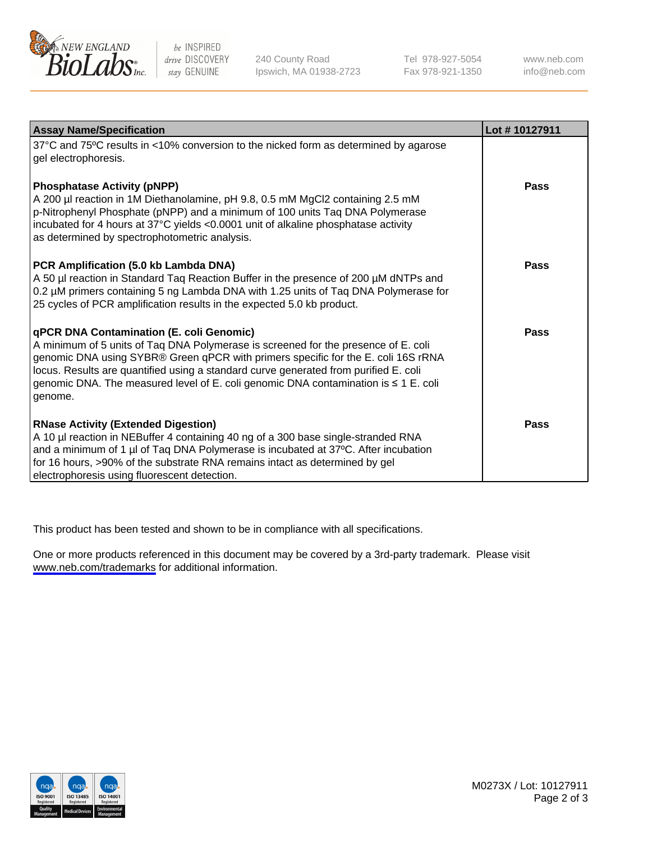

be INSPIRED drive DISCOVERY stay GENUINE

240 County Road Ipswich, MA 01938-2723 Tel 978-927-5054 Fax 978-921-1350

www.neb.com info@neb.com

| <b>Assay Name/Specification</b>                                                                                                                                                                                                                                                                                                                                                                                      | Lot #10127911 |
|----------------------------------------------------------------------------------------------------------------------------------------------------------------------------------------------------------------------------------------------------------------------------------------------------------------------------------------------------------------------------------------------------------------------|---------------|
| 37°C and 75°C results in <10% conversion to the nicked form as determined by agarose<br>gel electrophoresis.                                                                                                                                                                                                                                                                                                         |               |
| <b>Phosphatase Activity (pNPP)</b><br>A 200 µl reaction in 1M Diethanolamine, pH 9.8, 0.5 mM MgCl2 containing 2.5 mM<br>p-Nitrophenyl Phosphate (pNPP) and a minimum of 100 units Taq DNA Polymerase<br>incubated for 4 hours at 37°C yields <0.0001 unit of alkaline phosphatase activity<br>as determined by spectrophotometric analysis.                                                                          | Pass          |
| PCR Amplification (5.0 kb Lambda DNA)<br>A 50 µl reaction in Standard Taq Reaction Buffer in the presence of 200 µM dNTPs and<br>0.2 µM primers containing 5 ng Lambda DNA with 1.25 units of Taq DNA Polymerase for<br>25 cycles of PCR amplification results in the expected 5.0 kb product.                                                                                                                       | Pass          |
| <b>qPCR DNA Contamination (E. coli Genomic)</b><br>A minimum of 5 units of Taq DNA Polymerase is screened for the presence of E. coli<br>genomic DNA using SYBR® Green qPCR with primers specific for the E. coli 16S rRNA<br>locus. Results are quantified using a standard curve generated from purified E. coli<br>genomic DNA. The measured level of E. coli genomic DNA contamination is ≤ 1 E. coli<br>genome. | Pass          |
| <b>RNase Activity (Extended Digestion)</b><br>A 10 µl reaction in NEBuffer 4 containing 40 ng of a 300 base single-stranded RNA<br>and a minimum of 1 µl of Taq DNA Polymerase is incubated at 37°C. After incubation<br>for 16 hours, >90% of the substrate RNA remains intact as determined by gel<br>electrophoresis using fluorescent detection.                                                                 | Pass          |

This product has been tested and shown to be in compliance with all specifications.

One or more products referenced in this document may be covered by a 3rd-party trademark. Please visit <www.neb.com/trademarks>for additional information.